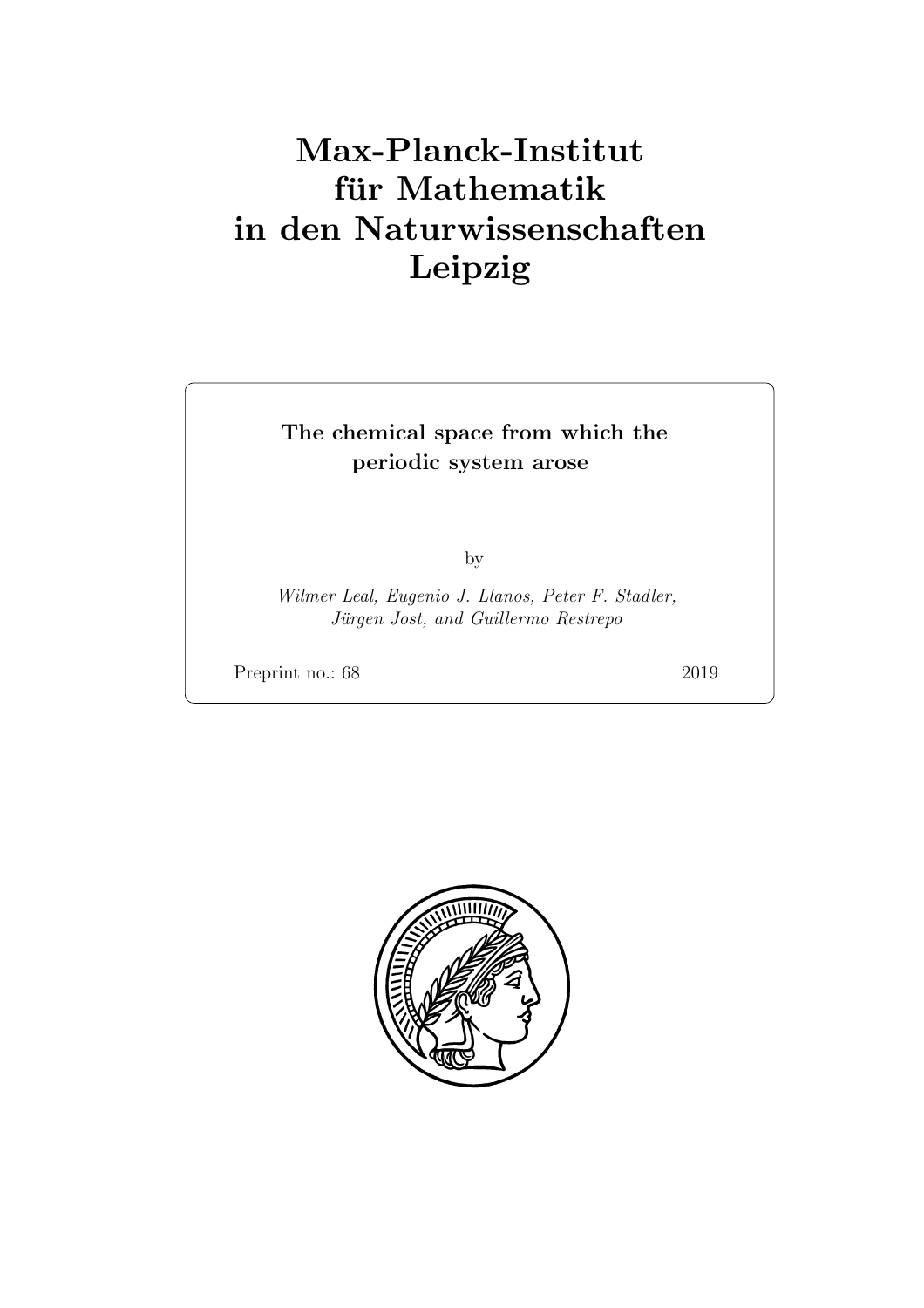# Max-Planck-Institut für Mathematik in den Naturwissenschaften Leipzig

## The chemical space from which the periodic system arose

by

Wilmer Leal, Eugenio J. Llanos, Peter F. Stadler, Jürgen Jost, and Guillermo Restrepo

Preprint no.: 68 2019

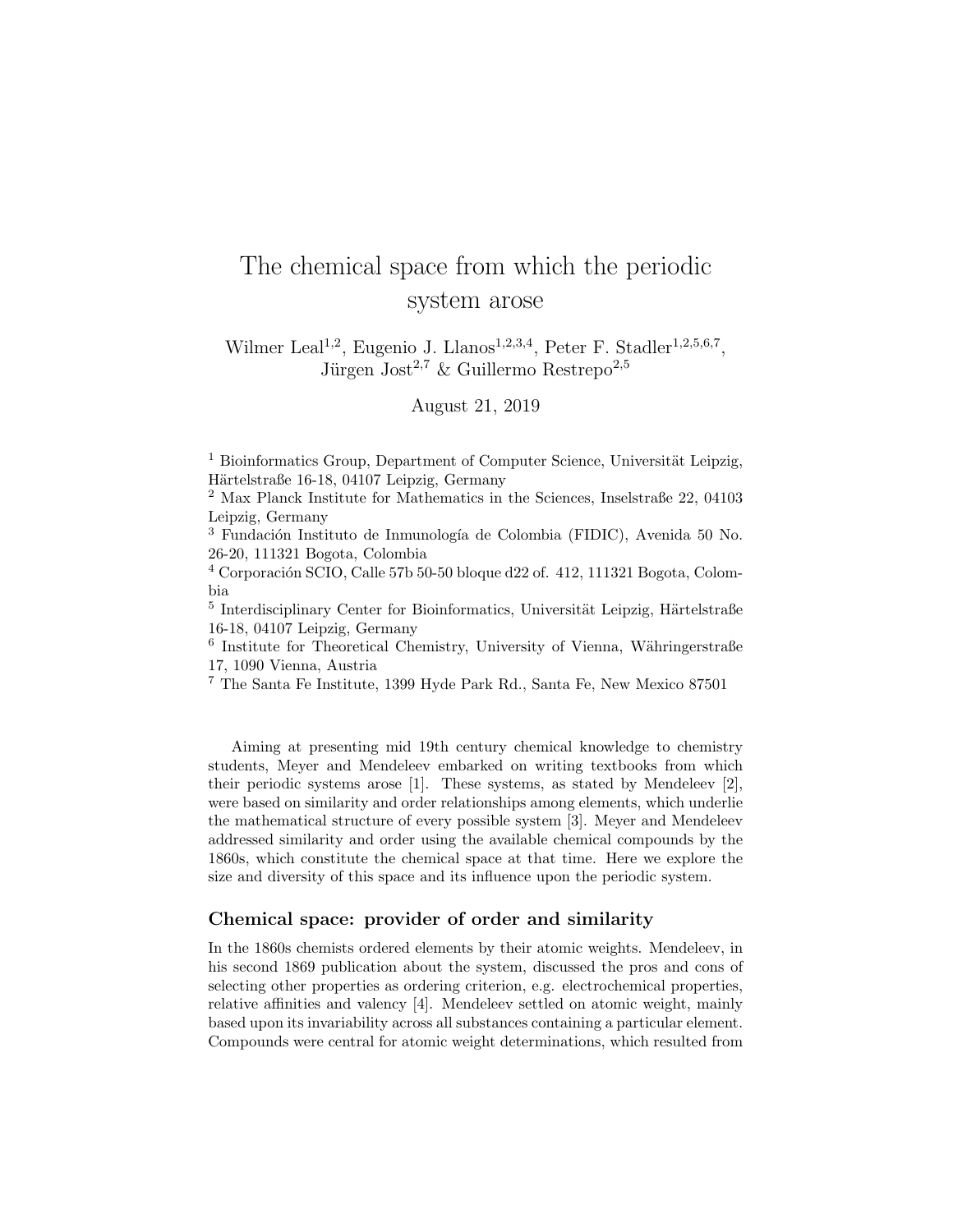## The chemical space from which the periodic system arose

Wilmer Leal<sup>1,2</sup>, Eugenio J. Llanos<sup>1,2,3,4</sup>, Peter F. Stadler<sup>1,2,5,6,7</sup>, Jürgen Jost<sup>2,7</sup> & Guillermo Restrepo<sup>2,5</sup>

August 21, 2019

 $1$  Bioinformatics Group, Department of Computer Science, Universität Leipzig, Härtelstraße 16-18, 04107 Leipzig, Germany

<sup>2</sup> Max Planck Institute for Mathematics in the Sciences, Inselstraße 22, 04103 Leipzig, Germany

<sup>3</sup> Fundación Instituto de Inmunología de Colombia (FIDIC), Avenida 50 No. 26-20, 111321 Bogota, Colombia

 $4$  Corporación SCIO, Calle 57b 50-50 bloque d22 of. 412, 111321 Bogota, Colombia

 $<sup>5</sup>$  Interdisciplinary Center for Bioinformatics, Universität Leipzig, Härtelstraße</sup> 16-18, 04107 Leipzig, Germany

<sup>6</sup> Institute for Theoretical Chemistry, University of Vienna, Währingerstraße 17, 1090 Vienna, Austria

<sup>7</sup> The Santa Fe Institute, 1399 Hyde Park Rd., Santa Fe, New Mexico 87501

Aiming at presenting mid 19th century chemical knowledge to chemistry students, Meyer and Mendeleev embarked on writing textbooks from which their periodic systems arose [1]. These systems, as stated by Mendeleev [2], were based on similarity and order relationships among elements, which underlie the mathematical structure of every possible system [3]. Meyer and Mendeleev addressed similarity and order using the available chemical compounds by the 1860s, which constitute the chemical space at that time. Here we explore the size and diversity of this space and its influence upon the periodic system.

#### Chemical space: provider of order and similarity

In the 1860s chemists ordered elements by their atomic weights. Mendeleev, in his second 1869 publication about the system, discussed the pros and cons of selecting other properties as ordering criterion, e.g. electrochemical properties, relative affinities and valency [4]. Mendeleev settled on atomic weight, mainly based upon its invariability across all substances containing a particular element. Compounds were central for atomic weight determinations, which resulted from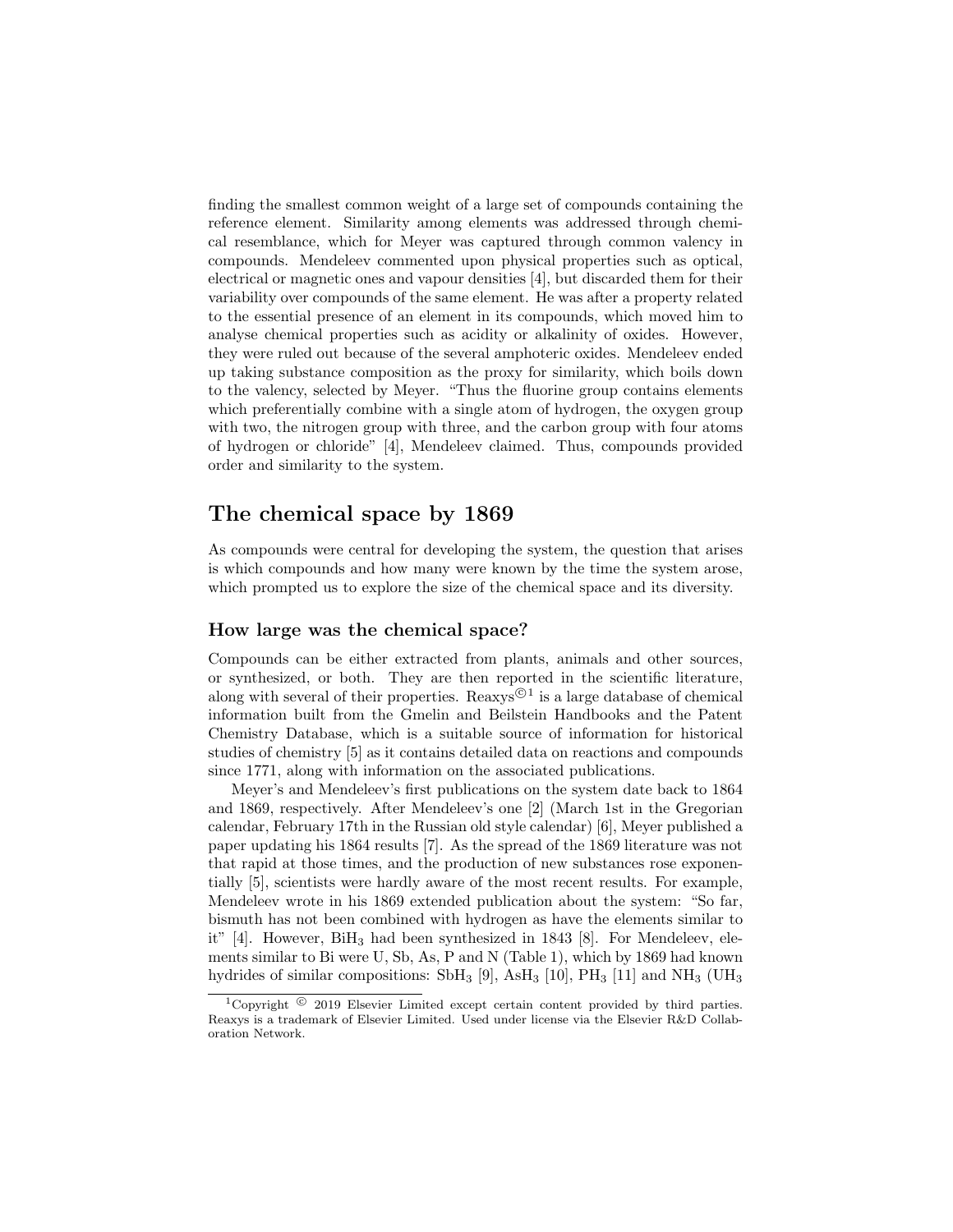finding the smallest common weight of a large set of compounds containing the reference element. Similarity among elements was addressed through chemical resemblance, which for Meyer was captured through common valency in compounds. Mendeleev commented upon physical properties such as optical, electrical or magnetic ones and vapour densities [4], but discarded them for their variability over compounds of the same element. He was after a property related to the essential presence of an element in its compounds, which moved him to analyse chemical properties such as acidity or alkalinity of oxides. However, they were ruled out because of the several amphoteric oxides. Mendeleev ended up taking substance composition as the proxy for similarity, which boils down to the valency, selected by Meyer. "Thus the fluorine group contains elements which preferentially combine with a single atom of hydrogen, the oxygen group with two, the nitrogen group with three, and the carbon group with four atoms of hydrogen or chloride" [4], Mendeleev claimed. Thus, compounds provided order and similarity to the system.

### The chemical space by 1869

As compounds were central for developing the system, the question that arises is which compounds and how many were known by the time the system arose, which prompted us to explore the size of the chemical space and its diversity.

#### How large was the chemical space?

Compounds can be either extracted from plants, animals and other sources, or synthesized, or both. They are then reported in the scientific literature, along with several of their properties. Reaxys<sup> $\odot$ 1</sup> is a large database of chemical information built from the Gmelin and Beilstein Handbooks and the Patent Chemistry Database, which is a suitable source of information for historical studies of chemistry [5] as it contains detailed data on reactions and compounds since 1771, along with information on the associated publications.

Meyer's and Mendeleev's first publications on the system date back to 1864 and 1869, respectively. After Mendeleev's one [2] (March 1st in the Gregorian calendar, February 17th in the Russian old style calendar) [6], Meyer published a paper updating his 1864 results [7]. As the spread of the 1869 literature was not that rapid at those times, and the production of new substances rose exponentially [5], scientists were hardly aware of the most recent results. For example, Mendeleev wrote in his 1869 extended publication about the system: "So far, bismuth has not been combined with hydrogen as have the elements similar to it" [4]. However,  $\text{BiH}_3$  had been synthesized in 1843 [8]. For Mendeleev, elements similar to Bi were U, Sb, As, P and N (Table 1), which by 1869 had known hydrides of similar compositions: SbH<sub>3</sub> [9], AsH<sub>3</sub> [10], PH<sub>3</sub> [11] and NH<sub>3</sub> (UH<sub>3</sub>)

<sup>&</sup>lt;sup>1</sup>Copyright  $\odot$  2019 Elsevier Limited except certain content provided by third parties. Reaxys is a trademark of Elsevier Limited. Used under license via the Elsevier R&D Collaboration Network.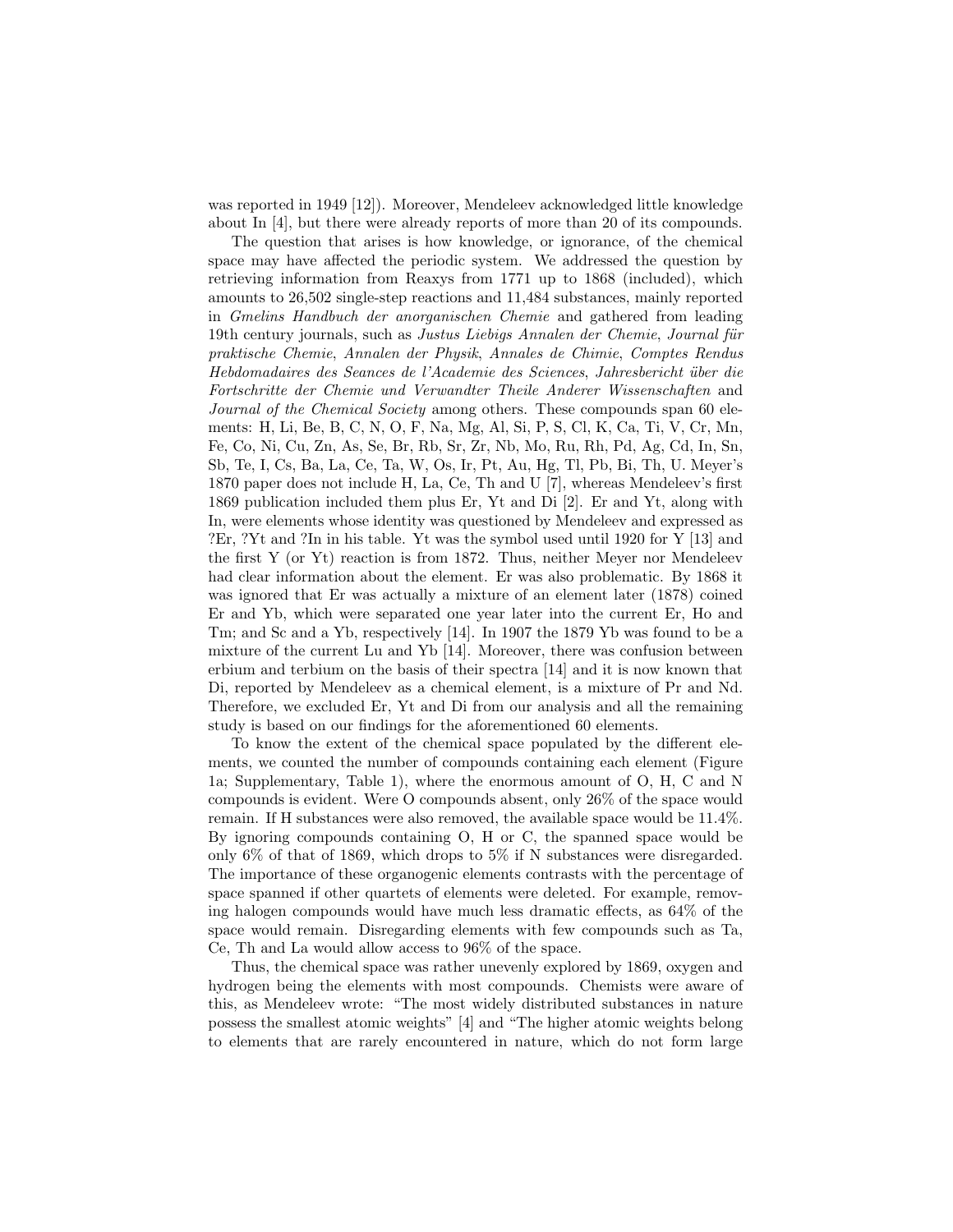was reported in 1949 [12]). Moreover, Mendeleev acknowledged little knowledge about In [4], but there were already reports of more than 20 of its compounds.

The question that arises is how knowledge, or ignorance, of the chemical space may have affected the periodic system. We addressed the question by retrieving information from Reaxys from 1771 up to 1868 (included), which amounts to 26,502 single-step reactions and 11,484 substances, mainly reported in Gmelins Handbuch der anorganischen Chemie and gathered from leading 19th century journals, such as Justus Liebigs Annalen der Chemie, Journal für praktische Chemie, Annalen der Physik, Annales de Chimie, Comptes Rendus Hebdomadaires des Seances de l'Academie des Sciences, Jahresbericht ¨uber die Fortschritte der Chemie und Verwandter Theile Anderer Wissenschaften and Journal of the Chemical Society among others. These compounds span 60 elements: H, Li, Be, B, C, N, O, F, Na, Mg, Al, Si, P, S, Cl, K, Ca, Ti, V, Cr, Mn, Fe, Co, Ni, Cu, Zn, As, Se, Br, Rb, Sr, Zr, Nb, Mo, Ru, Rh, Pd, Ag, Cd, In, Sn, Sb, Te, I, Cs, Ba, La, Ce, Ta, W, Os, Ir, Pt, Au, Hg, Tl, Pb, Bi, Th, U. Meyer's 1870 paper does not include H, La, Ce, Th and U [7], whereas Mendeleev's first 1869 publication included them plus Er, Yt and Di [2]. Er and Yt, along with In, were elements whose identity was questioned by Mendeleev and expressed as ?Er, ?Yt and ?In in his table. Yt was the symbol used until 1920 for Y [13] and the first Y (or Yt) reaction is from 1872. Thus, neither Meyer nor Mendeleev had clear information about the element. Er was also problematic. By 1868 it was ignored that Er was actually a mixture of an element later (1878) coined Er and Yb, which were separated one year later into the current Er, Ho and Tm; and Sc and a Yb, respectively [14]. In 1907 the 1879 Yb was found to be a mixture of the current Lu and Yb [14]. Moreover, there was confusion between erbium and terbium on the basis of their spectra [14] and it is now known that Di, reported by Mendeleev as a chemical element, is a mixture of Pr and Nd. Therefore, we excluded Er, Yt and Di from our analysis and all the remaining study is based on our findings for the aforementioned 60 elements.

To know the extent of the chemical space populated by the different elements, we counted the number of compounds containing each element (Figure 1a; Supplementary, Table 1), where the enormous amount of O, H, C and N compounds is evident. Were O compounds absent, only 26% of the space would remain. If H substances were also removed, the available space would be 11.4%. By ignoring compounds containing O, H or C, the spanned space would be only 6% of that of 1869, which drops to 5% if N substances were disregarded. The importance of these organogenic elements contrasts with the percentage of space spanned if other quartets of elements were deleted. For example, removing halogen compounds would have much less dramatic effects, as 64% of the space would remain. Disregarding elements with few compounds such as Ta, Ce, Th and La would allow access to 96% of the space.

Thus, the chemical space was rather unevenly explored by 1869, oxygen and hydrogen being the elements with most compounds. Chemists were aware of this, as Mendeleev wrote: "The most widely distributed substances in nature possess the smallest atomic weights" [4] and "The higher atomic weights belong to elements that are rarely encountered in nature, which do not form large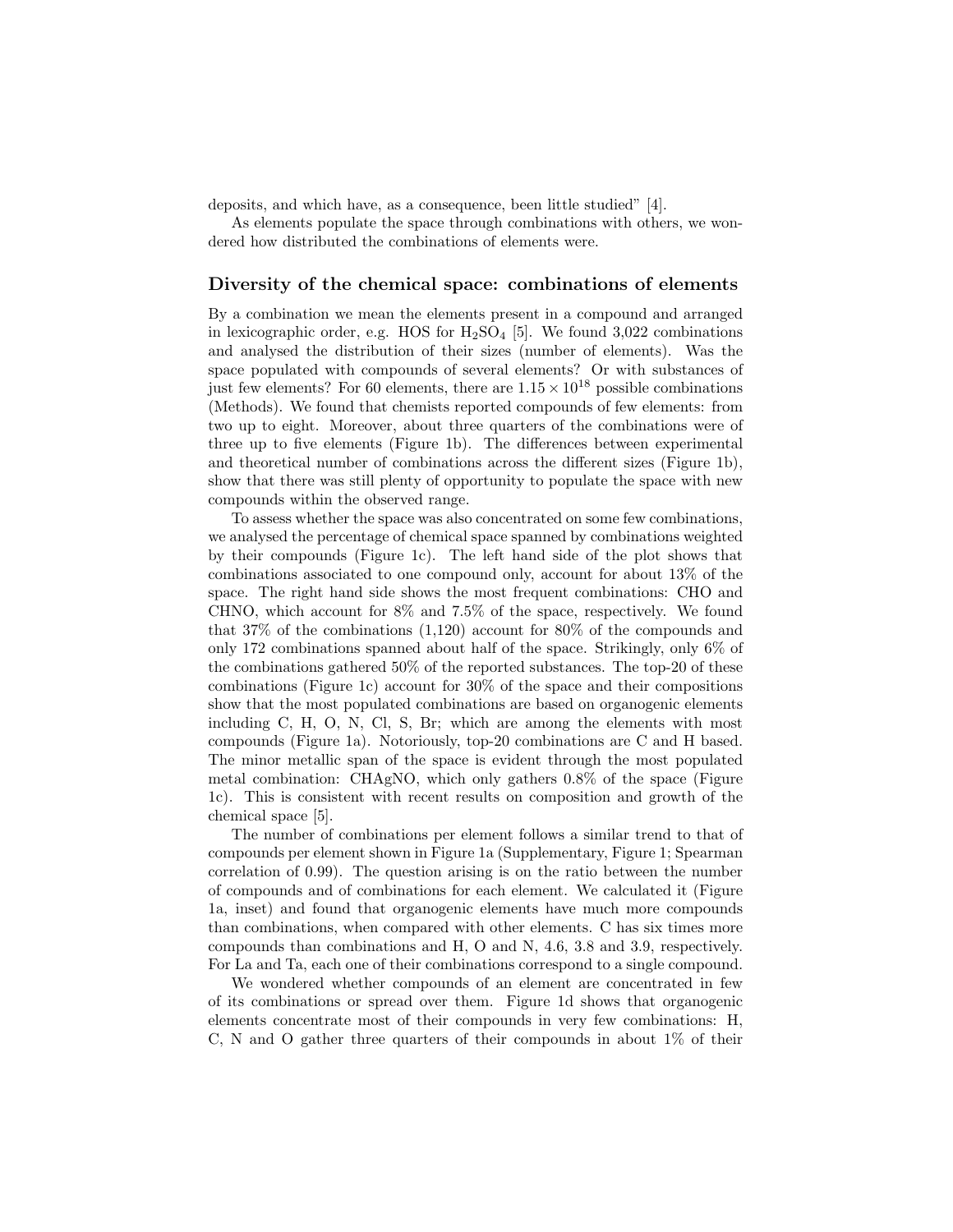deposits, and which have, as a consequence, been little studied" [4].

As elements populate the space through combinations with others, we wondered how distributed the combinations of elements were.

#### Diversity of the chemical space: combinations of elements

By a combination we mean the elements present in a compound and arranged in lexicographic order, e.g. HOS for  $H_2SO_4$  [5]. We found 3,022 combinations and analysed the distribution of their sizes (number of elements). Was the space populated with compounds of several elements? Or with substances of just few elements? For 60 elements, there are  $1.15 \times 10^{18}$  possible combinations (Methods). We found that chemists reported compounds of few elements: from two up to eight. Moreover, about three quarters of the combinations were of three up to five elements (Figure 1b). The differences between experimental and theoretical number of combinations across the different sizes (Figure 1b), show that there was still plenty of opportunity to populate the space with new compounds within the observed range.

To assess whether the space was also concentrated on some few combinations, we analysed the percentage of chemical space spanned by combinations weighted by their compounds (Figure 1c). The left hand side of the plot shows that combinations associated to one compound only, account for about 13% of the space. The right hand side shows the most frequent combinations: CHO and CHNO, which account for 8% and 7.5% of the space, respectively. We found that 37% of the combinations (1,120) account for 80% of the compounds and only 172 combinations spanned about half of the space. Strikingly, only 6% of the combinations gathered 50% of the reported substances. The top-20 of these combinations (Figure 1c) account for 30% of the space and their compositions show that the most populated combinations are based on organogenic elements including C, H, O, N, Cl, S, Br; which are among the elements with most compounds (Figure 1a). Notoriously, top-20 combinations are C and H based. The minor metallic span of the space is evident through the most populated metal combination: CHAgNO, which only gathers 0.8% of the space (Figure 1c). This is consistent with recent results on composition and growth of the chemical space [5].

The number of combinations per element follows a similar trend to that of compounds per element shown in Figure 1a (Supplementary, Figure 1; Spearman correlation of 0.99). The question arising is on the ratio between the number of compounds and of combinations for each element. We calculated it (Figure 1a, inset) and found that organogenic elements have much more compounds than combinations, when compared with other elements. C has six times more compounds than combinations and H, O and N, 4.6, 3.8 and 3.9, respectively. For La and Ta, each one of their combinations correspond to a single compound.

We wondered whether compounds of an element are concentrated in few of its combinations or spread over them. Figure 1d shows that organogenic elements concentrate most of their compounds in very few combinations: H, C, N and O gather three quarters of their compounds in about 1% of their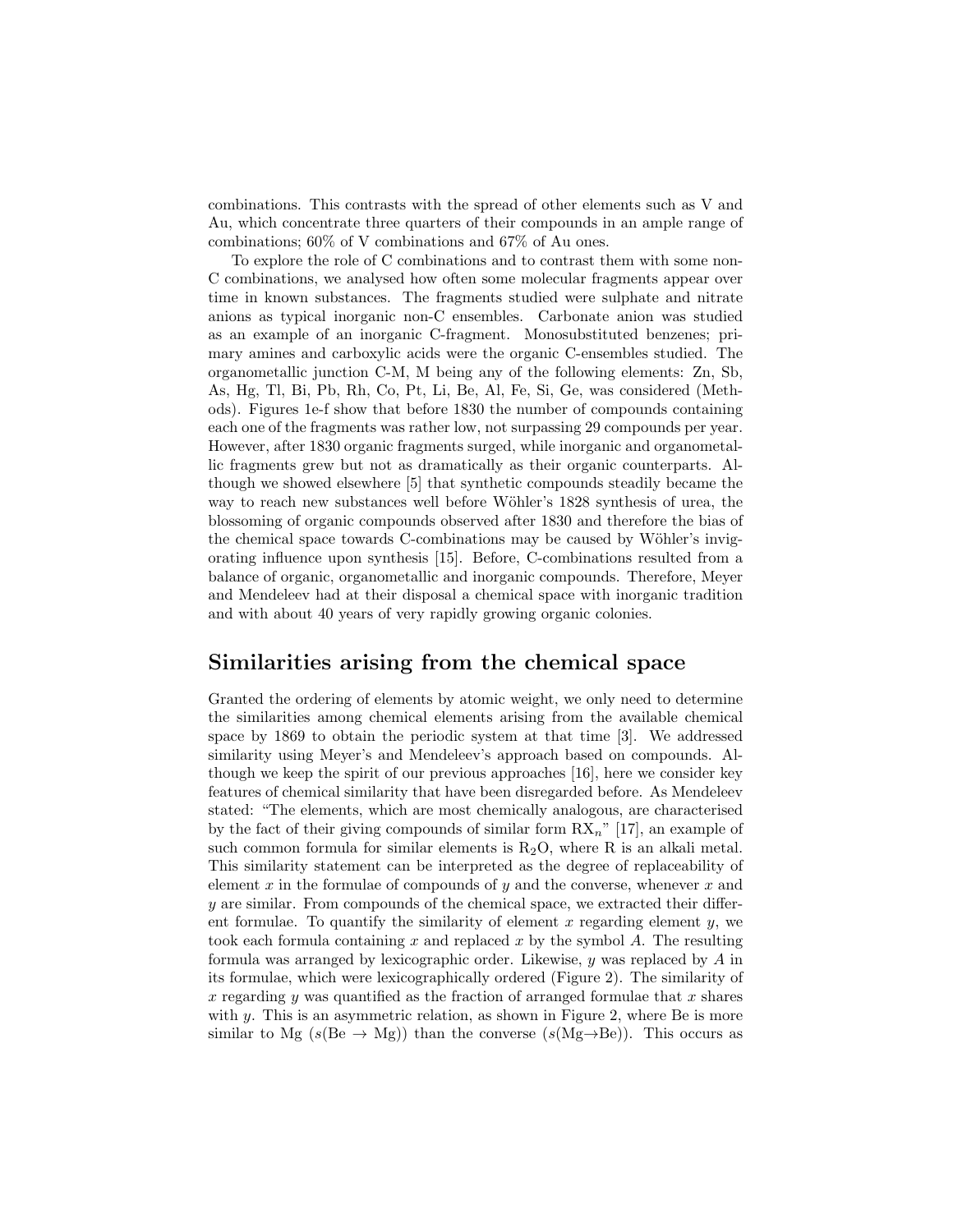combinations. This contrasts with the spread of other elements such as V and Au, which concentrate three quarters of their compounds in an ample range of combinations; 60% of V combinations and 67% of Au ones.

To explore the role of C combinations and to contrast them with some non-C combinations, we analysed how often some molecular fragments appear over time in known substances. The fragments studied were sulphate and nitrate anions as typical inorganic non-C ensembles. Carbonate anion was studied as an example of an inorganic C-fragment. Monosubstituted benzenes; primary amines and carboxylic acids were the organic C-ensembles studied. The organometallic junction C-M, M being any of the following elements: Zn, Sb, As, Hg, Tl, Bi, Pb, Rh, Co, Pt, Li, Be, Al, Fe, Si, Ge, was considered (Methods). Figures 1e-f show that before 1830 the number of compounds containing each one of the fragments was rather low, not surpassing 29 compounds per year. However, after 1830 organic fragments surged, while inorganic and organometallic fragments grew but not as dramatically as their organic counterparts. Although we showed elsewhere [5] that synthetic compounds steadily became the way to reach new substances well before Wöhler's 1828 synthesis of urea, the blossoming of organic compounds observed after 1830 and therefore the bias of the chemical space towards C-combinations may be caused by Wöhler's invigorating influence upon synthesis [15]. Before, C-combinations resulted from a balance of organic, organometallic and inorganic compounds. Therefore, Meyer and Mendeleev had at their disposal a chemical space with inorganic tradition and with about 40 years of very rapidly growing organic colonies.

### Similarities arising from the chemical space

Granted the ordering of elements by atomic weight, we only need to determine the similarities among chemical elements arising from the available chemical space by 1869 to obtain the periodic system at that time [3]. We addressed similarity using Meyer's and Mendeleev's approach based on compounds. Although we keep the spirit of our previous approaches [16], here we consider key features of chemical similarity that have been disregarded before. As Mendeleev stated: "The elements, which are most chemically analogous, are characterised by the fact of their giving compounds of similar form  $\mathbb{R}\mathbf{X}_n$ " [17], an example of such common formula for similar elements is  $R_2O$ , where R is an alkali metal. This similarity statement can be interpreted as the degree of replaceability of element x in the formulae of compounds of  $y$  and the converse, whenever x and y are similar. From compounds of the chemical space, we extracted their different formulae. To quantify the similarity of element  $x$  regarding element  $y$ , we took each formula containing x and replaced x by the symbol  $A$ . The resulting formula was arranged by lexicographic order. Likewise, y was replaced by A in its formulae, which were lexicographically ordered (Figure 2). The similarity of x regarding y was quantified as the fraction of arranged formulae that x shares with y. This is an asymmetric relation, as shown in Figure 2, where Be is more similar to Mg ( $s$ (Be  $\rightarrow$  Mg)) than the converse ( $s$ (Mg $\rightarrow$ Be)). This occurs as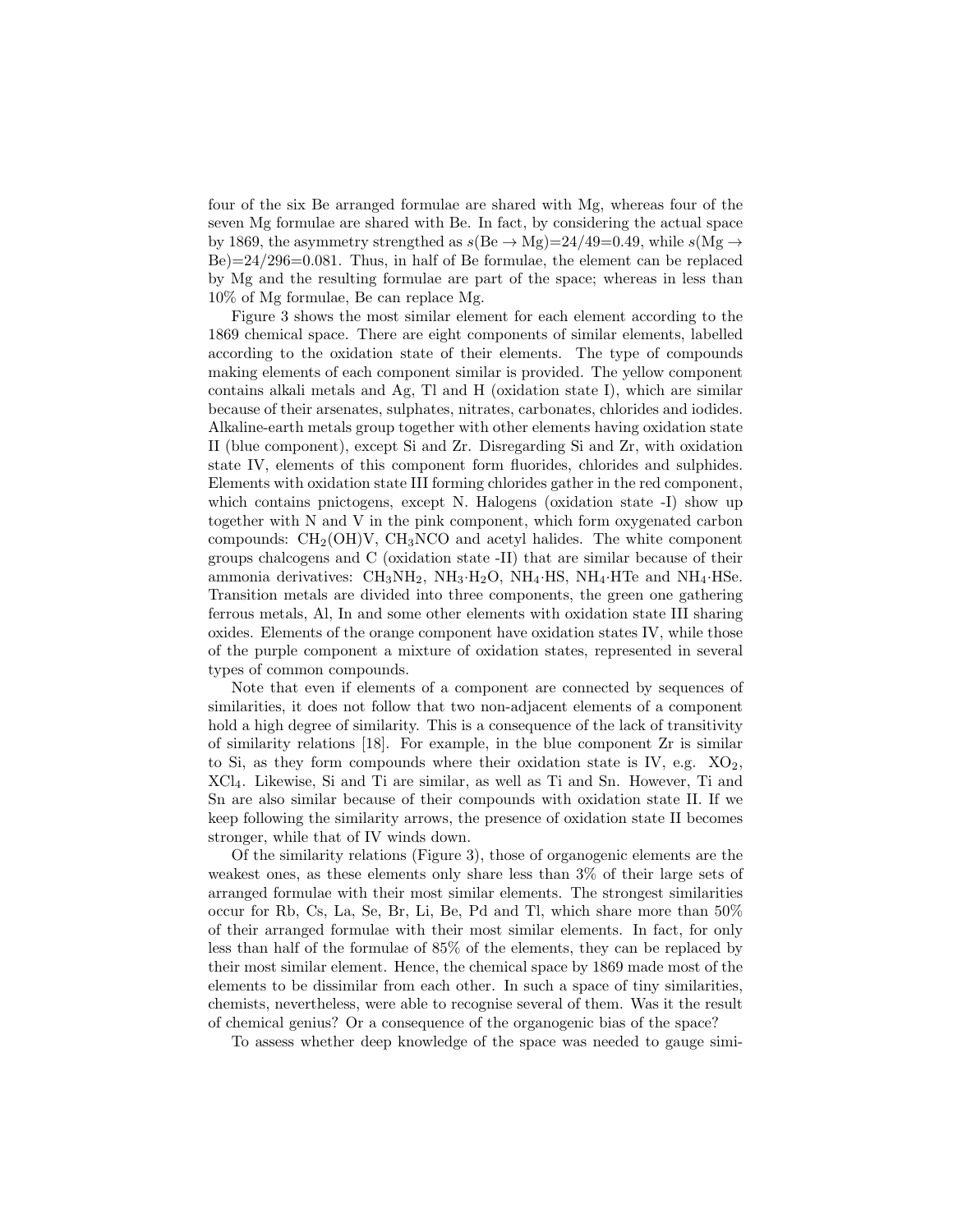four of the six Be arranged formulae are shared with Mg, whereas four of the seven Mg formulae are shared with Be. In fact, by considering the actual space by 1869, the asymmetry strengthed as  $s(Be \rightarrow Mg)=24/49=0.49$ , while  $s(Mg \rightarrow$  $Be) = 24/296 = 0.081$ . Thus, in half of Be formulae, the element can be replaced by Mg and the resulting formulae are part of the space; whereas in less than 10% of Mg formulae, Be can replace Mg.

Figure 3 shows the most similar element for each element according to the 1869 chemical space. There are eight components of similar elements, labelled according to the oxidation state of their elements. The type of compounds making elements of each component similar is provided. The yellow component contains alkali metals and Ag, Tl and H (oxidation state I), which are similar because of their arsenates, sulphates, nitrates, carbonates, chlorides and iodides. Alkaline-earth metals group together with other elements having oxidation state II (blue component), except Si and Zr. Disregarding Si and Zr, with oxidation state IV, elements of this component form fluorides, chlorides and sulphides. Elements with oxidation state III forming chlorides gather in the red component, which contains pnictogens, except N. Halogens (oxidation state -I) show up together with N and V in the pink component, which form oxygenated carbon compounds:  $CH_2(OH)V$ ,  $CH_3NCO$  and acetyl halides. The white component groups chalcogens and C (oxidation state -II) that are similar because of their ammonia derivatives:  $\text{CH}_3\text{NH}_2$ ,  $\text{NH}_3\cdot\text{H}_2\text{O}$ ,  $\text{NH}_4\cdot\text{HS}$ ,  $\text{NH}_4\cdot\text{H}\text{O}$  and  $\text{NH}_4\cdot\text{HS}$ e. Transition metals are divided into three components, the green one gathering ferrous metals, Al, In and some other elements with oxidation state III sharing oxides. Elements of the orange component have oxidation states IV, while those of the purple component a mixture of oxidation states, represented in several types of common compounds.

Note that even if elements of a component are connected by sequences of similarities, it does not follow that two non-adjacent elements of a component hold a high degree of similarity. This is a consequence of the lack of transitivity of similarity relations [18]. For example, in the blue component Zr is similar to Si, as they form compounds where their oxidation state is IV, e.g.  $XO_2$ , XCl4. Likewise, Si and Ti are similar, as well as Ti and Sn. However, Ti and Sn are also similar because of their compounds with oxidation state II. If we keep following the similarity arrows, the presence of oxidation state II becomes stronger, while that of IV winds down.

Of the similarity relations (Figure 3), those of organogenic elements are the weakest ones, as these elements only share less than 3% of their large sets of arranged formulae with their most similar elements. The strongest similarities occur for Rb, Cs, La, Se, Br, Li, Be, Pd and Tl, which share more than 50% of their arranged formulae with their most similar elements. In fact, for only less than half of the formulae of 85% of the elements, they can be replaced by their most similar element. Hence, the chemical space by 1869 made most of the elements to be dissimilar from each other. In such a space of tiny similarities, chemists, nevertheless, were able to recognise several of them. Was it the result of chemical genius? Or a consequence of the organogenic bias of the space?

To assess whether deep knowledge of the space was needed to gauge simi-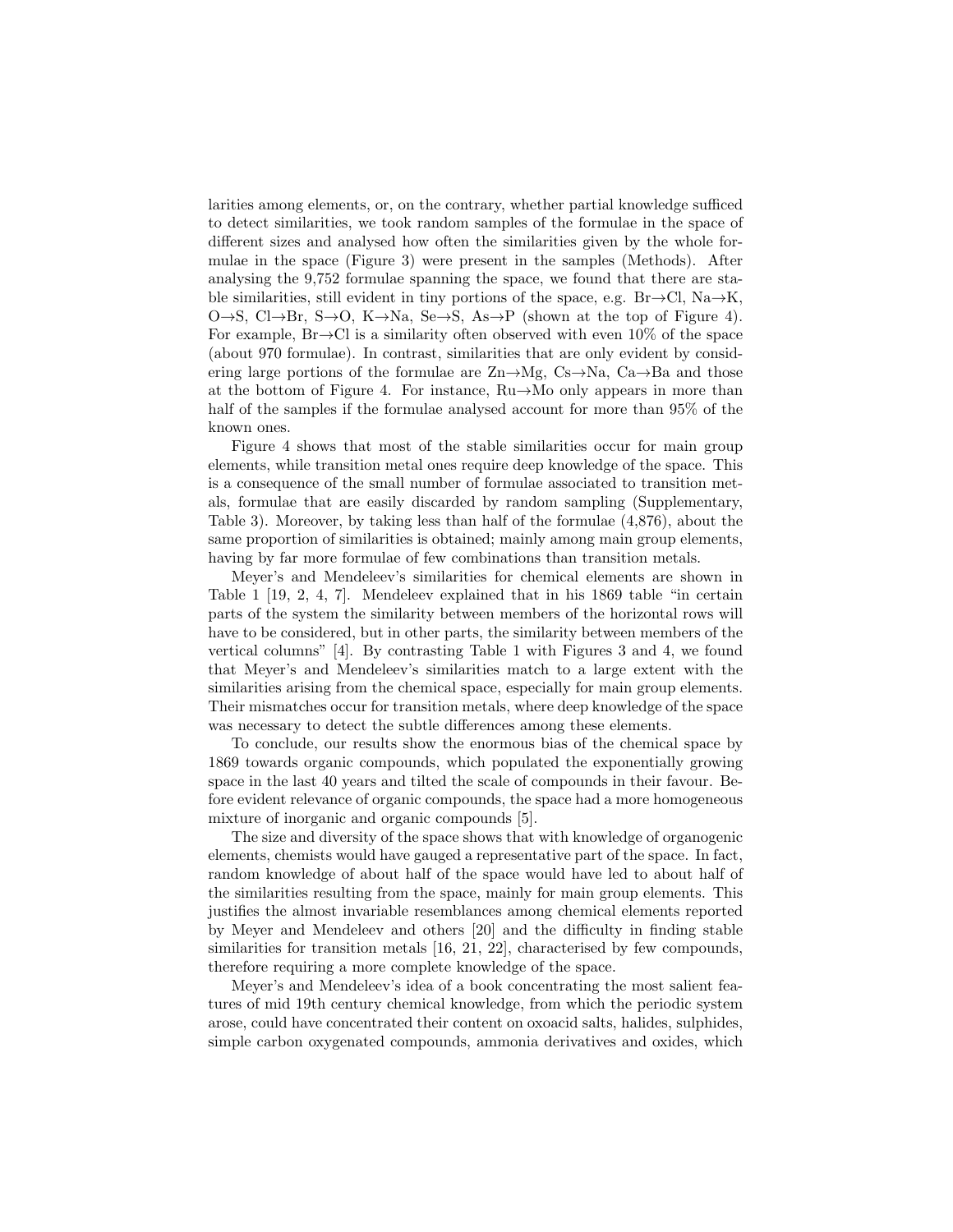larities among elements, or, on the contrary, whether partial knowledge sufficed to detect similarities, we took random samples of the formulae in the space of different sizes and analysed how often the similarities given by the whole formulae in the space (Figure 3) were present in the samples (Methods). After analysing the 9,752 formulae spanning the space, we found that there are stable similarities, still evident in tiny portions of the space, e.g. Br $\rightarrow$ Cl, Na $\rightarrow$ K,  $O\rightarrow S$ ,  $Cl\rightarrow Br$ ,  $S\rightarrow O$ ,  $K\rightarrow Na$ ,  $Se\rightarrow S$ ,  $As\rightarrow P$  (shown at the top of Figure 4). For example,  $Br\rightarrow Cl$  is a similarity often observed with even  $10\%$  of the space (about 970 formulae). In contrast, similarities that are only evident by considering large portions of the formulae are  $\text{Zn}\rightarrow\text{Mg}$ ,  $\text{Cs}\rightarrow\text{Na}$ ,  $\text{Ca}\rightarrow\text{Ba}$  and those at the bottom of Figure 4. For instance, Ru→Mo only appears in more than half of the samples if the formulae analysed account for more than 95% of the known ones.

Figure 4 shows that most of the stable similarities occur for main group elements, while transition metal ones require deep knowledge of the space. This is a consequence of the small number of formulae associated to transition metals, formulae that are easily discarded by random sampling (Supplementary, Table 3). Moreover, by taking less than half of the formulae (4,876), about the same proportion of similarities is obtained; mainly among main group elements, having by far more formulae of few combinations than transition metals.

Meyer's and Mendeleev's similarities for chemical elements are shown in Table 1 [19, 2, 4, 7]. Mendeleev explained that in his 1869 table "in certain parts of the system the similarity between members of the horizontal rows will have to be considered, but in other parts, the similarity between members of the vertical columns" [4]. By contrasting Table 1 with Figures 3 and 4, we found that Meyer's and Mendeleev's similarities match to a large extent with the similarities arising from the chemical space, especially for main group elements. Their mismatches occur for transition metals, where deep knowledge of the space was necessary to detect the subtle differences among these elements.

To conclude, our results show the enormous bias of the chemical space by 1869 towards organic compounds, which populated the exponentially growing space in the last 40 years and tilted the scale of compounds in their favour. Before evident relevance of organic compounds, the space had a more homogeneous mixture of inorganic and organic compounds [5].

The size and diversity of the space shows that with knowledge of organogenic elements, chemists would have gauged a representative part of the space. In fact, random knowledge of about half of the space would have led to about half of the similarities resulting from the space, mainly for main group elements. This justifies the almost invariable resemblances among chemical elements reported by Meyer and Mendeleev and others [20] and the difficulty in finding stable similarities for transition metals [16, 21, 22], characterised by few compounds, therefore requiring a more complete knowledge of the space.

Meyer's and Mendeleev's idea of a book concentrating the most salient features of mid 19th century chemical knowledge, from which the periodic system arose, could have concentrated their content on oxoacid salts, halides, sulphides, simple carbon oxygenated compounds, ammonia derivatives and oxides, which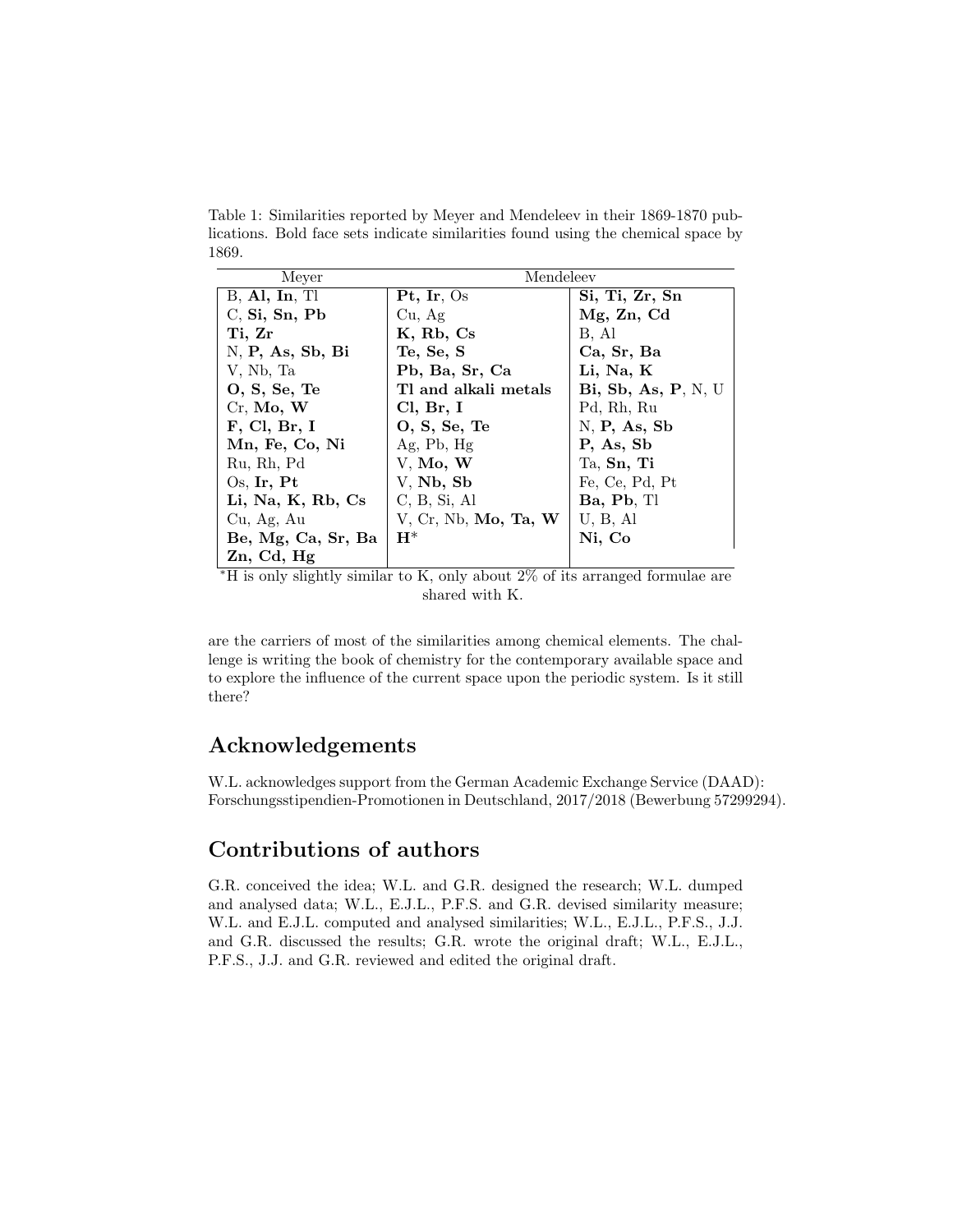Table 1: Similarities reported by Meyer and Mendeleev in their 1869-1870 publications. Bold face sets indicate similarities found using the chemical space by 1869.

| Meyer              | Mendeleev                      |                     |
|--------------------|--------------------------------|---------------------|
| $B,$ Al, In, Tl    | Pt, Ir, Os                     | Si, Ti, Zr, Sn      |
| C, Si, Sn, Pb      | Cu, Ag                         | Mg, Zn, Cd          |
| Ti, Zr             | K, Rb, Cs                      | B, Al               |
| N, P, As, Sb, Bi   | Te, Se, S                      | Ca, Sr, Ba          |
| V, Nb, Ta          | Pb, Ba, Sr, Ca                 | Li, Na, K           |
| O, S, Se, Te       | Tl and alkali metals           | Bi, Sb, As, P, N, U |
| Cr, Mo, W          | Cl, Br, I                      | Pd, Rh, Ru          |
| F, Cl, Br, I       | O, S, Se, Te                   | N, P, As, Sb        |
| Mn, Fe, Co, Ni     | Ag, Pb, Hg                     | P, As, Sb           |
| Ru, Rh, Pd         | V, Mo, W                       | Ta, Sn, Ti          |
| Os, Ir, Pt         | V, Nb, Sb                      | Fe, Ce, Pd, Pt      |
| Li, Na, K, Rb, Cs  | C, B, Si, Al                   | Ba, Pb, Tl          |
| Cu, Ag, Au         | $V$ , Cr, Nb, <b>Mo, Ta, W</b> | U, B, Al            |
| Be, Mg, Ca, Sr, Ba | $\mathrm{H}^*$                 | Ni, Co              |
| $Zn$ , Cd, Hg      |                                |                     |

<sup>∗</sup>H is only slightly similar to K, only about 2% of its arranged formulae are shared with K.

are the carriers of most of the similarities among chemical elements. The challenge is writing the book of chemistry for the contemporary available space and to explore the influence of the current space upon the periodic system. Is it still there?

## Acknowledgements

W.L. acknowledges support from the German Academic Exchange Service (DAAD): Forschungsstipendien-Promotionen in Deutschland, 2017/2018 (Bewerbung 57299294).

## Contributions of authors

G.R. conceived the idea; W.L. and G.R. designed the research; W.L. dumped and analysed data; W.L., E.J.L., P.F.S. and G.R. devised similarity measure; W.L. and E.J.L. computed and analysed similarities; W.L., E.J.L., P.F.S., J.J. and G.R. discussed the results; G.R. wrote the original draft; W.L., E.J.L., P.F.S., J.J. and G.R. reviewed and edited the original draft.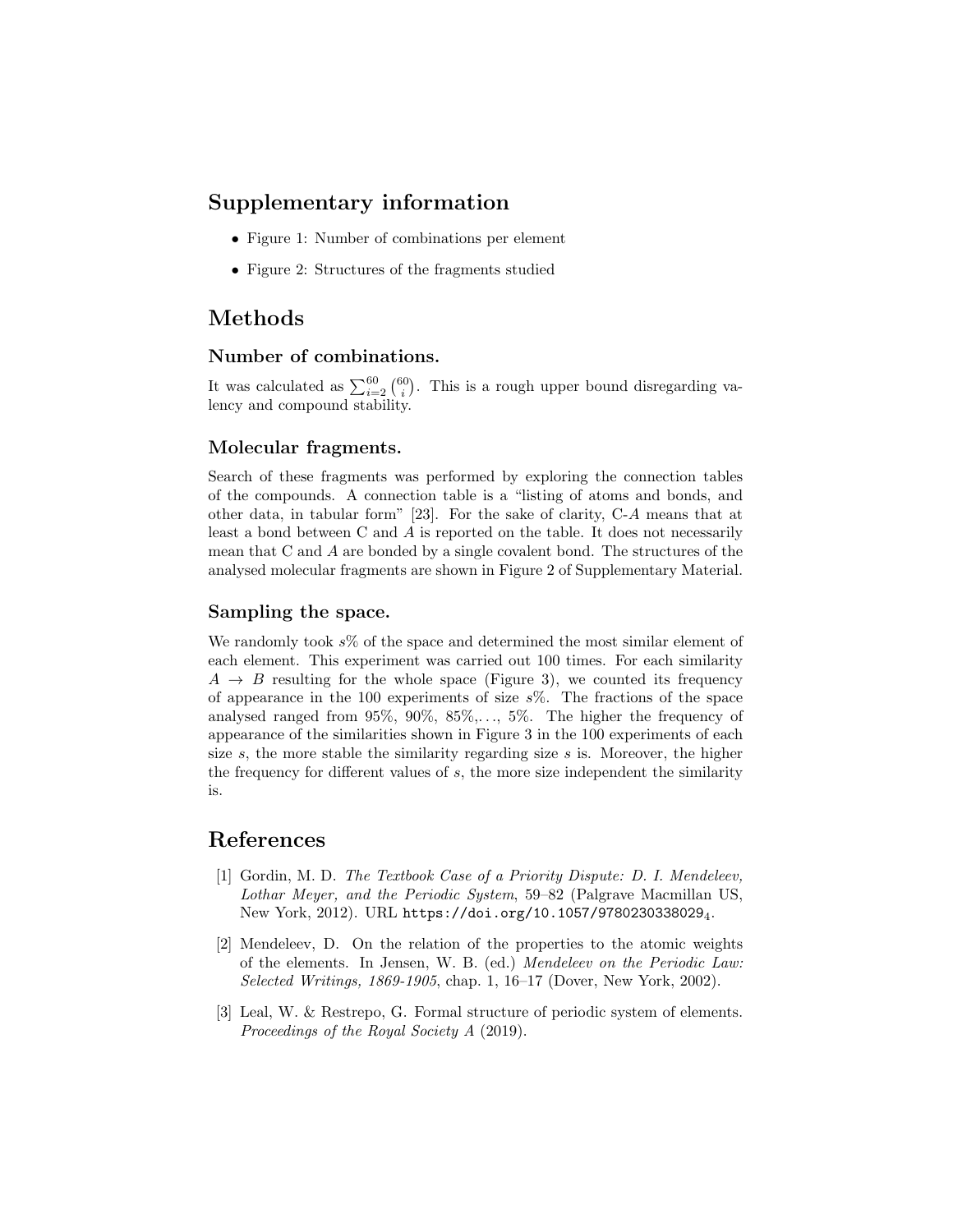## Supplementary information

- Figure 1: Number of combinations per element
- Figure 2: Structures of the fragments studied

## Methods

#### Number of combinations.

It was calculated as  $\sum_{i=2}^{60} {\binom{60}{i}}$ . This is a rough upper bound disregarding valency and compound stability.

#### Molecular fragments.

Search of these fragments was performed by exploring the connection tables of the compounds. A connection table is a "listing of atoms and bonds, and other data, in tabular form" [23]. For the sake of clarity, C-A means that at least a bond between C and A is reported on the table. It does not necessarily mean that C and A are bonded by a single covalent bond. The structures of the analysed molecular fragments are shown in Figure 2 of Supplementary Material.

#### Sampling the space.

We randomly took  $s\%$  of the space and determined the most similar element of each element. This experiment was carried out 100 times. For each similarity  $A \rightarrow B$  resulting for the whole space (Figure 3), we counted its frequency of appearance in the 100 experiments of size  $s\%$ . The fractions of the space analysed ranged from  $95\%$ ,  $90\%$ ,  $85\%$ ,...,  $5\%$ . The higher the frequency of appearance of the similarities shown in Figure 3 in the 100 experiments of each size  $s$ , the more stable the similarity regarding size  $s$  is. Moreover, the higher the frequency for different values of s, the more size independent the similarity is.

## References

- [1] Gordin, M. D. The Textbook Case of a Priority Dispute: D. I. Mendeleev, Lothar Meyer, and the Periodic System, 59–82 (Palgrave Macmillan US, New York, 2012). URL https://doi.org/10.1057/97802303380294.
- [2] Mendeleev, D. On the relation of the properties to the atomic weights of the elements. In Jensen, W. B. (ed.) Mendeleev on the Periodic Law: Selected Writings, 1869-1905, chap. 1, 16–17 (Dover, New York, 2002).
- [3] Leal, W. & Restrepo, G. Formal structure of periodic system of elements. Proceedings of the Royal Society A (2019).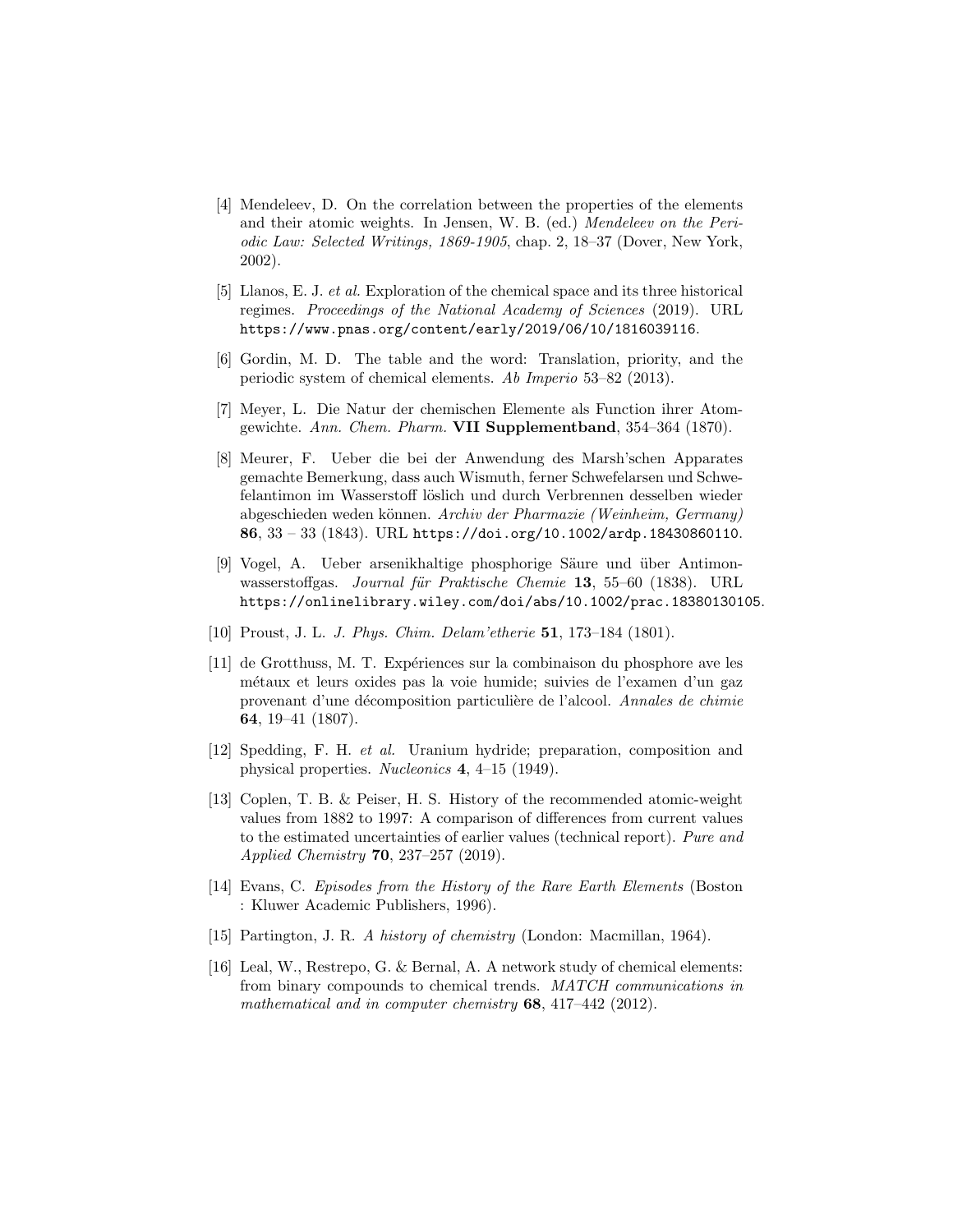- [4] Mendeleev, D. On the correlation between the properties of the elements and their atomic weights. In Jensen, W. B. (ed.) Mendeleev on the Periodic Law: Selected Writings, 1869-1905, chap. 2, 18–37 (Dover, New York, 2002).
- [5] Llanos, E. J. et al. Exploration of the chemical space and its three historical regimes. Proceedings of the National Academy of Sciences (2019). URL https://www.pnas.org/content/early/2019/06/10/1816039116.
- [6] Gordin, M. D. The table and the word: Translation, priority, and the periodic system of chemical elements. Ab Imperio 53–82 (2013).
- [7] Meyer, L. Die Natur der chemischen Elemente als Function ihrer Atomgewichte. Ann. Chem. Pharm. VII Supplementband, 354–364 (1870).
- [8] Meurer, F. Ueber die bei der Anwendung des Marsh'schen Apparates gemachte Bemerkung, dass auch Wismuth, ferner Schwefelarsen und Schwefelantimon im Wasserstoff löslich und durch Verbrennen desselben wieder abgeschieden weden können. Archiv der Pharmazie (Weinheim, Germany) 86, 33 – 33 (1843). URL https://doi.org/10.1002/ardp.18430860110.
- [9] Vogel, A. Ueber arsenikhaltige phosphorige Säure und über Antimonwasserstoffgas. Journal für Praktische Chemie 13, 55–60 (1838). URL https://onlinelibrary.wiley.com/doi/abs/10.1002/prac.18380130105.
- [10] Proust, J. L. J. Phys. Chim. Delam'etherie 51, 173–184 (1801).
- [11] de Grotthuss, M. T. Exp´eriences sur la combinaison du phosphore ave les m´etaux et leurs oxides pas la voie humide; suivies de l'examen d'un gaz provenant d'une décomposition particulière de l'alcool. Annales de chimie 64, 19–41 (1807).
- [12] Spedding, F. H. et al. Uranium hydride; preparation, composition and physical properties. Nucleonics 4, 4–15 (1949).
- [13] Coplen, T. B. & Peiser, H. S. History of the recommended atomic-weight values from 1882 to 1997: A comparison of differences from current values to the estimated uncertainties of earlier values (technical report). Pure and Applied Chemistry 70, 237–257 (2019).
- [14] Evans, C. Episodes from the History of the Rare Earth Elements (Boston : Kluwer Academic Publishers, 1996).
- [15] Partington, J. R. A history of chemistry (London: Macmillan, 1964).
- [16] Leal, W., Restrepo, G. & Bernal, A. A network study of chemical elements: from binary compounds to chemical trends. MATCH communications in mathematical and in computer chemistry 68, 417-442 (2012).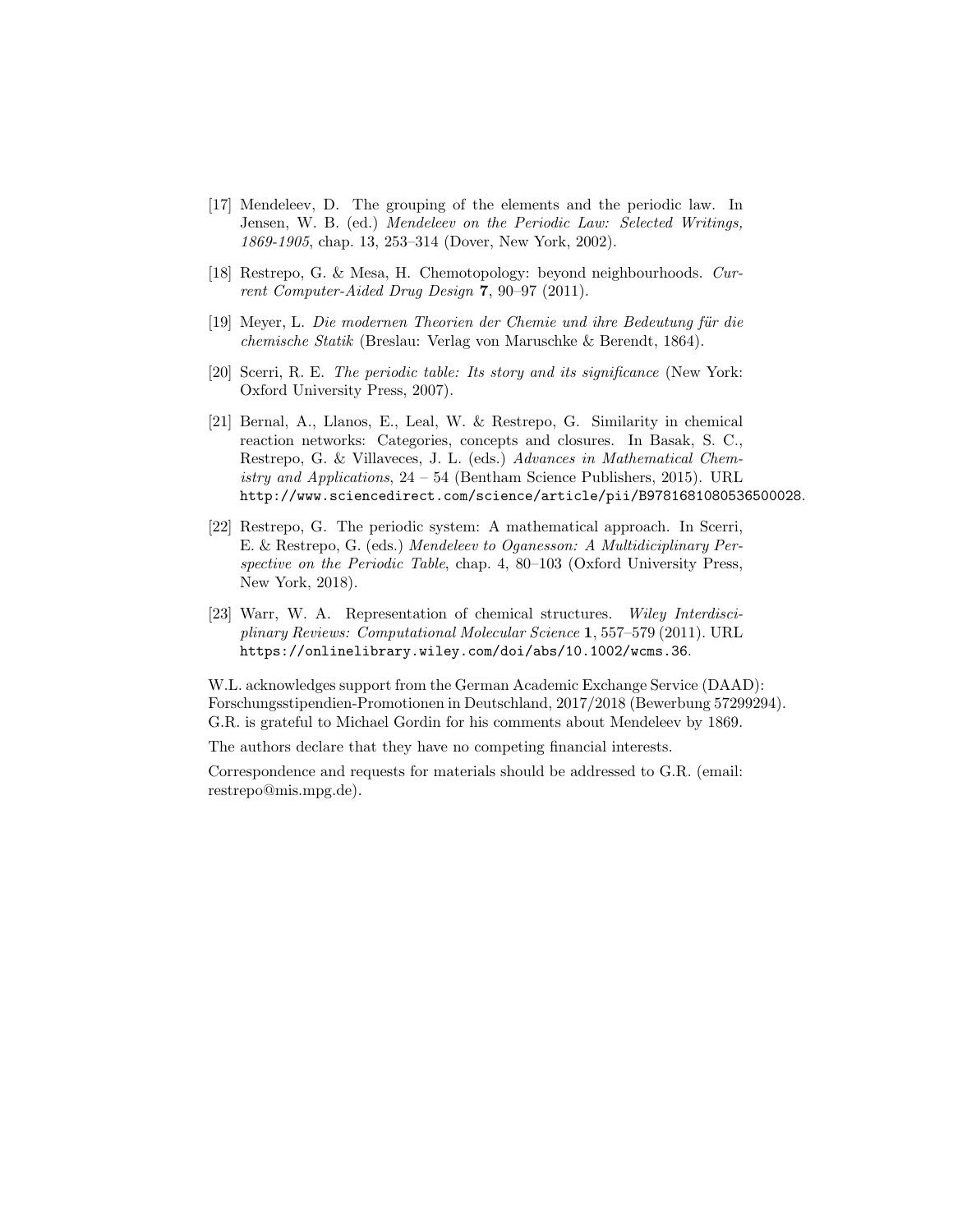- [17] Mendeleev, D. The grouping of the elements and the periodic law. In Jensen, W. B. (ed.) Mendeleev on the Periodic Law: Selected Writings, 1869-1905, chap. 13, 253–314 (Dover, New York, 2002).
- [18] Restrepo, G. & Mesa, H. Chemotopology: beyond neighbourhoods. Current Computer-Aided Drug Design 7, 90–97 (2011).
- [19] Meyer, L. Die modernen Theorien der Chemie und ihre Bedeutung für die chemische Statik (Breslau: Verlag von Maruschke & Berendt, 1864).
- [20] Scerri, R. E. The periodic table: Its story and its significance (New York: Oxford University Press, 2007).
- [21] Bernal, A., Llanos, E., Leal, W. & Restrepo, G. Similarity in chemical reaction networks: Categories, concepts and closures. In Basak, S. C., Restrepo, G. & Villaveces, J. L. (eds.) Advances in Mathematical Chemistry and Applications,  $24 - 54$  (Bentham Science Publishers, 2015). URL http://www.sciencedirect.com/science/article/pii/B9781681080536500028.
- [22] Restrepo, G. The periodic system: A mathematical approach. In Scerri, E. & Restrepo, G. (eds.) Mendeleev to Oganesson: A Multidiciplinary Perspective on the Periodic Table, chap. 4, 80–103 (Oxford University Press, New York, 2018).
- [23] Warr, W. A. Representation of chemical structures. Wiley Interdisciplinary Reviews: Computational Molecular Science 1, 557–579 (2011). URL https://onlinelibrary.wiley.com/doi/abs/10.1002/wcms.36.

W.L. acknowledges support from the German Academic Exchange Service (DAAD): Forschungsstipendien-Promotionen in Deutschland, 2017/2018 (Bewerbung 57299294). G.R. is grateful to Michael Gordin for his comments about Mendeleev by 1869.

The authors declare that they have no competing financial interests.

Correspondence and requests for materials should be addressed to G.R. (email: restrepo@mis.mpg.de).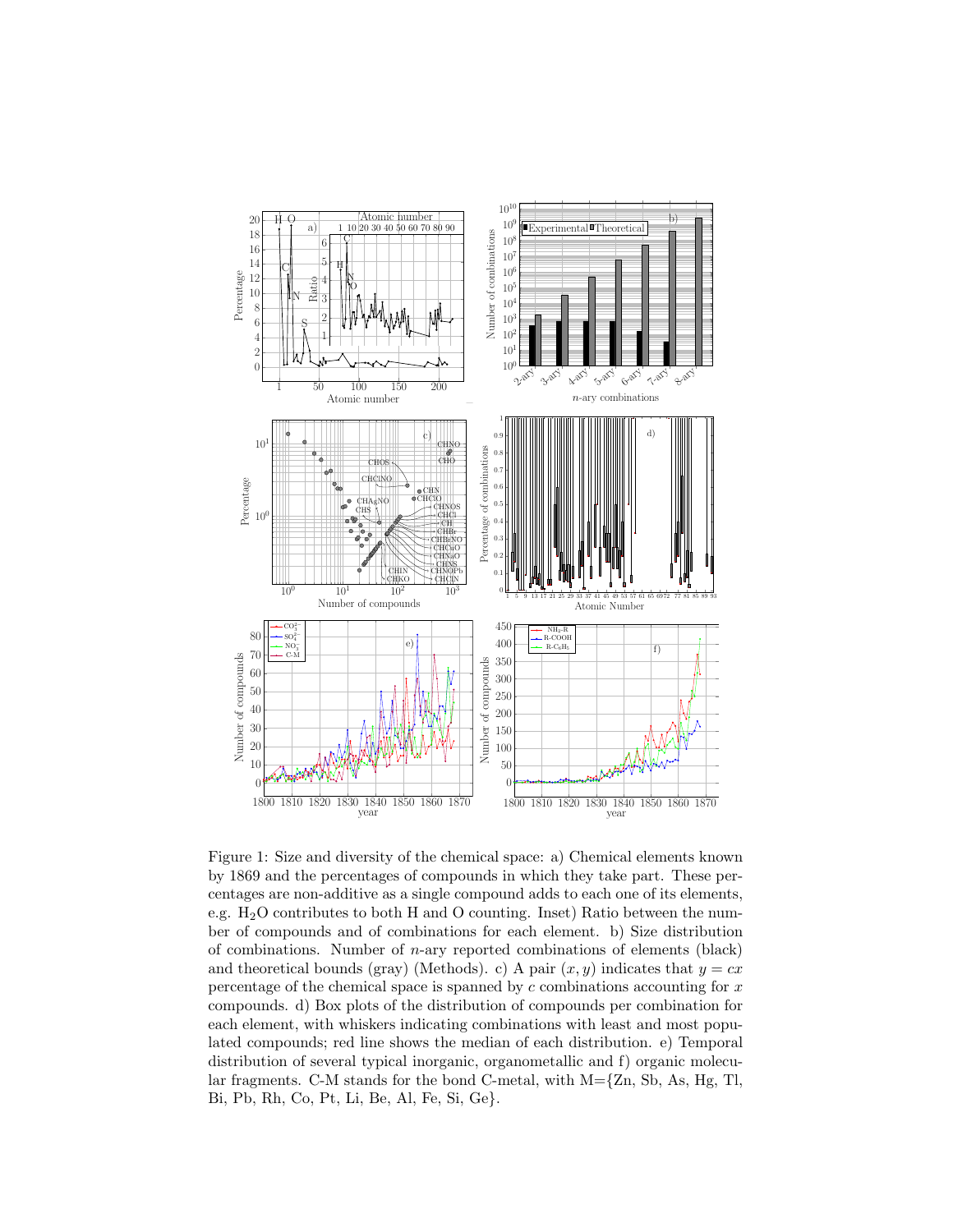

Figure 1: Size and diversity of the chemical space: a) Chemical elements known by 1869 and the percentages of compounds in which they take part. These percentages are non-additive as a single compound adds to each one of its elements, e.g. H2O contributes to both H and O counting. Inset) Ratio between the number of compounds and of combinations for each element. b) Size distribution of combinations. Number of  $n$ -ary reported combinations of elements (black) and theoretical bounds (gray) (Methods). c) A pair  $(x, y)$  indicates that  $y = cx$ percentage of the chemical space is spanned by  $c$  combinations accounting for  $x$ compounds. d) Box plots of the distribution of compounds per combination for each element, with whiskers indicating combinations with least and most populated compounds; red line shows the median of each distribution. e) Temporal distribution of several typical inorganic, organometallic and f) organic molecular fragments. C-M stands for the bond C-metal, with  $M=\{Zn, Sb, As, Hg, Tl,$ Bi, Pb, Rh, Co, Pt, Li, Be, Al, Fe, Si, Ge}.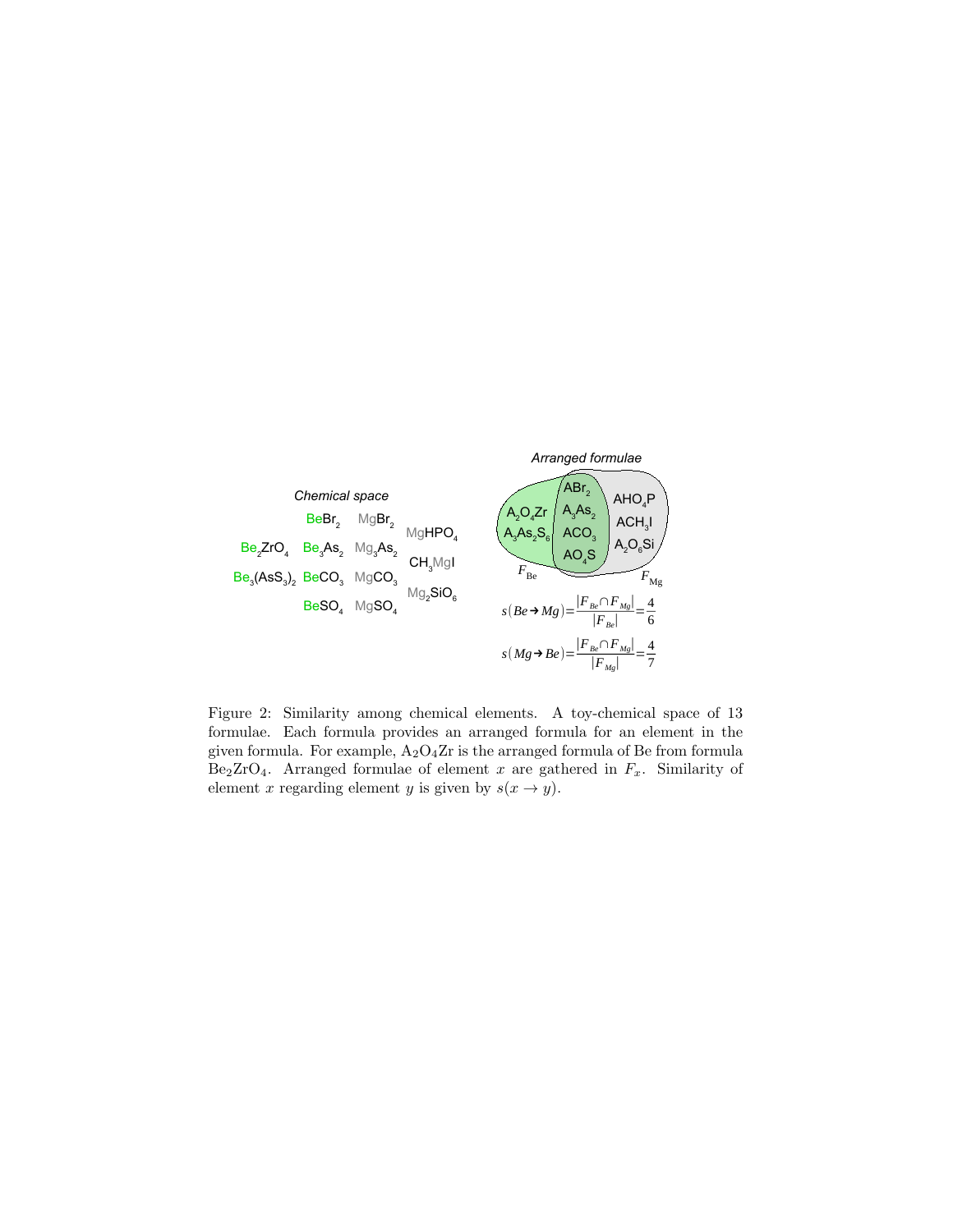

Figure 2: Similarity among chemical elements. A toy-chemical space of 13 formulae. Each formula provides an arranged formula for an element in the given formula. For example,  $A_2O_4Zr$  is the arranged formula of Be from formula Be<sub>2</sub>ZrO<sub>4</sub>. Arranged formulae of element x are gathered in  $F_x$ . Similarity of element x regarding element y is given by  $s(x \to y)$ .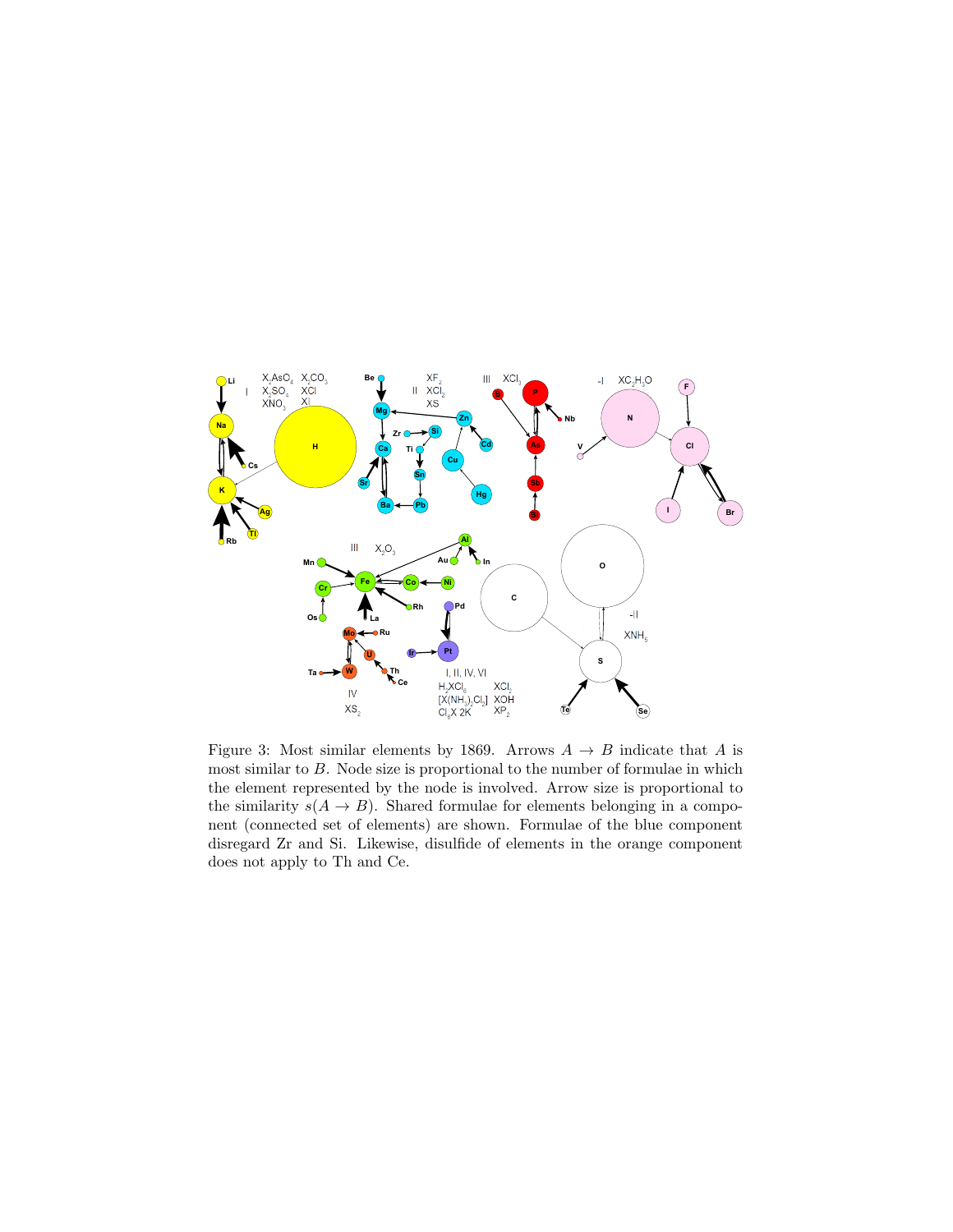

Figure 3: Most similar elements by 1869. Arrows  $A \rightarrow B$  indicate that A is most similar to B. Node size is proportional to the number of formulae in which the element represented by the node is involved. Arrow size is proportional to the similarity  $s(A \to B)$ . Shared formulae for elements belonging in a component (connected set of elements) are shown. Formulae of the blue component disregard Zr and Si. Likewise, disulfide of elements in the orange component does not apply to Th and Ce.